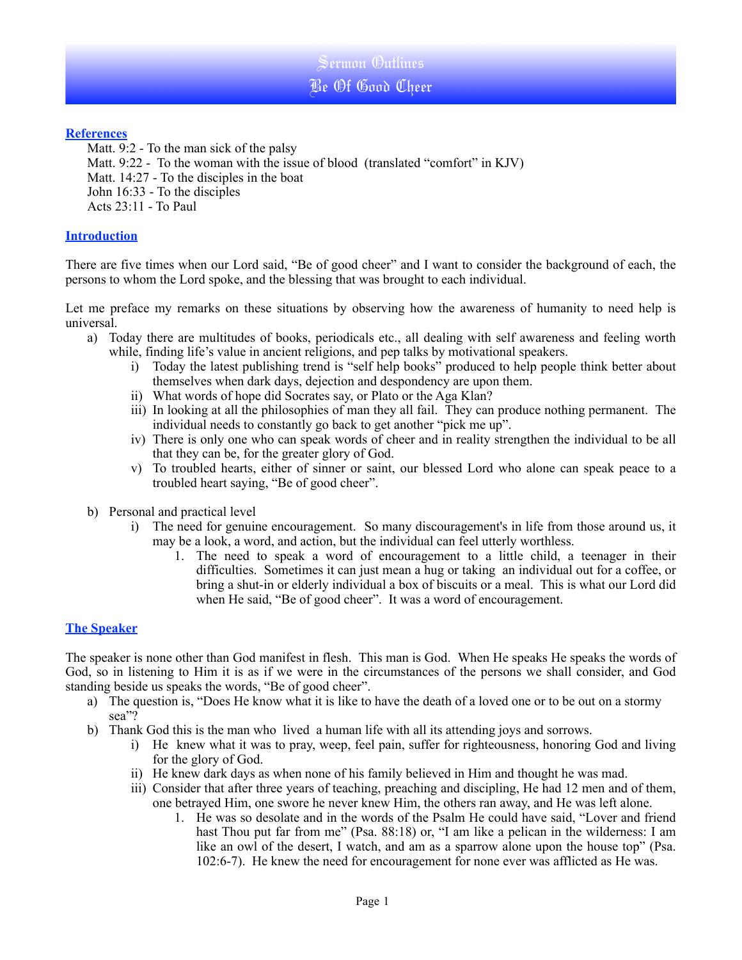Sermon Outlines Be Of Good Cheer

# **References**

Matt. 9:2 - To the man sick of the palsy Matt. 9:22 - To the woman with the issue of blood (translated "comfort" in KJV) Matt. 14:27 - To the disciples in the boat John 16:33 - To the disciples Acts 23:11 - To Paul

# **Introduction**

There are five times when our Lord said, "Be of good cheer" and I want to consider the background of each, the persons to whom the Lord spoke, and the blessing that was brought to each individual.

Let me preface my remarks on these situations by observing how the awareness of humanity to need help is universal.

- a) Today there are multitudes of books, periodicals etc., all dealing with self awareness and feeling worth while, finding life's value in ancient religions, and pep talks by motivational speakers.
	- i) Today the latest publishing trend is "self help books" produced to help people think better about themselves when dark days, dejection and despondency are upon them.
	- ii) What words of hope did Socrates say, or Plato or the Aga Klan?
	- iii) In looking at all the philosophies of man they all fail. They can produce nothing permanent. The individual needs to constantly go back to get another "pick me up".
	- iv) There is only one who can speak words of cheer and in reality strengthen the individual to be all that they can be, for the greater glory of God.
	- v) To troubled hearts, either of sinner or saint, our blessed Lord who alone can speak peace to a troubled heart saying, "Be of good cheer".
- b) Personal and practical level
	- i) The need for genuine encouragement. So many discouragement's in life from those around us, it may be a look, a word, and action, but the individual can feel utterly worthless.
		- 1. The need to speak a word of encouragement to a little child, a teenager in their difficulties. Sometimes it can just mean a hug or taking an individual out for a coffee, or bring a shut-in or elderly individual a box of biscuits or a meal. This is what our Lord did when He said, "Be of good cheer". It was a word of encouragement.

# **The Speaker**

The speaker is none other than God manifest in flesh. This man is God. When He speaks He speaks the words of God, so in listening to Him it is as if we were in the circumstances of the persons we shall consider, and God standing beside us speaks the words, "Be of good cheer".

- a) The question is, "Does He know what it is like to have the death of a loved one or to be out on a stormy sea"?
- b) Thank God this is the man who lived a human life with all its attending joys and sorrows.
	- i) He knew what it was to pray, weep, feel pain, suffer for righteousness, honoring God and living for the glory of God.
	- ii) He knew dark days as when none of his family believed in Him and thought he was mad.
	- iii) Consider that after three years of teaching, preaching and discipling, He had 12 men and of them, one betrayed Him, one swore he never knew Him, the others ran away, and He was left alone.
		- 1. He was so desolate and in the words of the Psalm He could have said, "Lover and friend hast Thou put far from me" (Psa. 88:18) or, "I am like a pelican in the wilderness: I am like an owl of the desert, I watch, and am as a sparrow alone upon the house top" (Psa. 102:6-7). He knew the need for encouragement for none ever was afflicted as He was.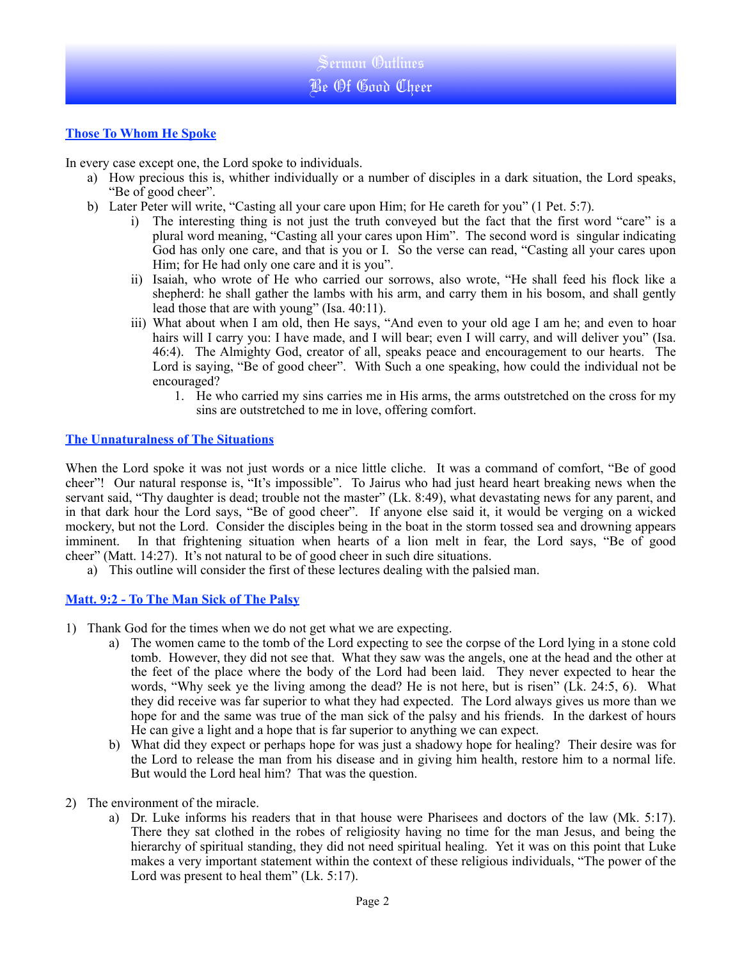# **Those To Whom He Spoke**

In every case except one, the Lord spoke to individuals.

- a) How precious this is, whither individually or a number of disciples in a dark situation, the Lord speaks, "Be of good cheer".
- b) Later Peter will write, "Casting all your care upon Him; for He careth for you" (1 Pet. 5:7).
	- i) The interesting thing is not just the truth conveyed but the fact that the first word "care" is a plural word meaning, "Casting all your cares upon Him". The second word is singular indicating God has only one care, and that is you or I. So the verse can read, "Casting all your cares upon Him; for He had only one care and it is you".
	- ii) Isaiah, who wrote of He who carried our sorrows, also wrote, "He shall feed his flock like a shepherd: he shall gather the lambs with his arm, and carry them in his bosom, and shall gently lead those that are with young" (Isa. 40:11).
	- iii) What about when I am old, then He says, "And even to your old age I am he; and even to hoar hairs will I carry you: I have made, and I will bear; even I will carry, and will deliver you" (Isa. 46:4). The Almighty God, creator of all, speaks peace and encouragement to our hearts. The Lord is saying, "Be of good cheer". With Such a one speaking, how could the individual not be encouraged?
		- 1. He who carried my sins carries me in His arms, the arms outstretched on the cross for my sins are outstretched to me in love, offering comfort.

### **The Unnaturalness of The Situations**

When the Lord spoke it was not just words or a nice little cliche. It was a command of comfort, "Be of good cheer"! Our natural response is, "It's impossible". To Jairus who had just heard heart breaking news when the servant said, "Thy daughter is dead; trouble not the master" (Lk. 8:49), what devastating news for any parent, and in that dark hour the Lord says, "Be of good cheer". If anyone else said it, it would be verging on a wicked mockery, but not the Lord. Consider the disciples being in the boat in the storm tossed sea and drowning appears imminent. In that frightening situation when hearts of a lion melt in fear, the Lord says, "Be of good cheer" (Matt. 14:27). It's not natural to be of good cheer in such dire situations.

a) This outline will consider the first of these lectures dealing with the palsied man.

# **Matt. 9:2 - To The Man Sick of The Palsy**

- 1) Thank God for the times when we do not get what we are expecting.
	- a) The women came to the tomb of the Lord expecting to see the corpse of the Lord lying in a stone cold tomb. However, they did not see that. What they saw was the angels, one at the head and the other at the feet of the place where the body of the Lord had been laid. They never expected to hear the words, "Why seek ye the living among the dead? He is not here, but is risen" (Lk. 24:5, 6). What they did receive was far superior to what they had expected. The Lord always gives us more than we hope for and the same was true of the man sick of the palsy and his friends. In the darkest of hours He can give a light and a hope that is far superior to anything we can expect.
	- b) What did they expect or perhaps hope for was just a shadowy hope for healing? Their desire was for the Lord to release the man from his disease and in giving him health, restore him to a normal life. But would the Lord heal him? That was the question.
- 2) The environment of the miracle.
	- a) Dr. Luke informs his readers that in that house were Pharisees and doctors of the law (Mk. 5:17). There they sat clothed in the robes of religiosity having no time for the man Jesus, and being the hierarchy of spiritual standing, they did not need spiritual healing. Yet it was on this point that Luke makes a very important statement within the context of these religious individuals, "The power of the Lord was present to heal them" (Lk. 5:17).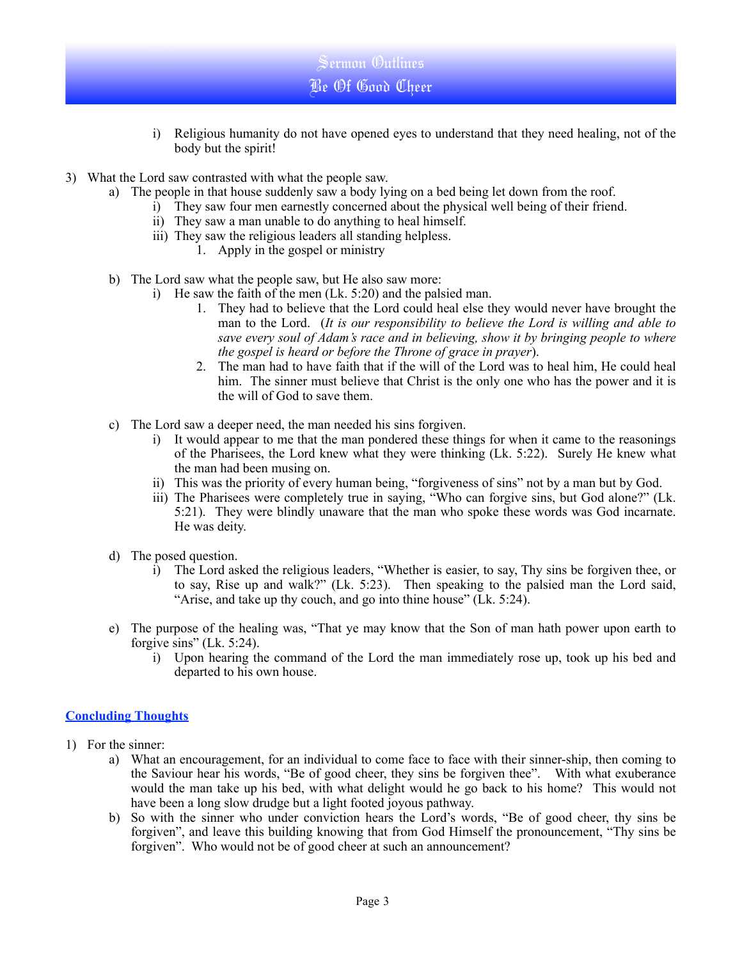

- 3) What the Lord saw contrasted with what the people saw.
	- a) The people in that house suddenly saw a body lying on a bed being let down from the roof.

Sermon Outlines Be Of Good Cheer

- i) They saw four men earnestly concerned about the physical well being of their friend.
- ii) They saw a man unable to do anything to heal himself.
- iii) They saw the religious leaders all standing helpless.
	- 1. Apply in the gospel or ministry
- b) The Lord saw what the people saw, but He also saw more:
	- i) He saw the faith of the men (Lk. 5:20) and the palsied man.
		- 1. They had to believe that the Lord could heal else they would never have brought the man to the Lord. (*It is our responsibility to believe the Lord is willing and able to save every soul of Adam's race and in believing, show it by bringing people to where the gospel is heard or before the Throne of grace in prayer*).
		- 2. The man had to have faith that if the will of the Lord was to heal him, He could heal him. The sinner must believe that Christ is the only one who has the power and it is the will of God to save them.
- c) The Lord saw a deeper need, the man needed his sins forgiven.
	- i) It would appear to me that the man pondered these things for when it came to the reasonings of the Pharisees, the Lord knew what they were thinking (Lk. 5:22). Surely He knew what the man had been musing on.
	- ii) This was the priority of every human being, "forgiveness of sins" not by a man but by God.
	- iii) The Pharisees were completely true in saying, "Who can forgive sins, but God alone?" (Lk. 5:21). They were blindly unaware that the man who spoke these words was God incarnate. He was deity.
- d) The posed question.
	- i) The Lord asked the religious leaders, "Whether is easier, to say, Thy sins be forgiven thee, or to say, Rise up and walk?" (Lk. 5:23). Then speaking to the palsied man the Lord said, "Arise, and take up thy couch, and go into thine house" (Lk. 5:24).
- e) The purpose of the healing was, "That ye may know that the Son of man hath power upon earth to forgive sins" (Lk. 5:24).
	- i) Upon hearing the command of the Lord the man immediately rose up, took up his bed and departed to his own house.

# **Concluding Thoughts**

- 1) For the sinner:
	- a) What an encouragement, for an individual to come face to face with their sinner-ship, then coming to the Saviour hear his words, "Be of good cheer, they sins be forgiven thee". With what exuberance would the man take up his bed, with what delight would he go back to his home? This would not have been a long slow drudge but a light footed joyous pathway.
	- b) So with the sinner who under conviction hears the Lord's words, "Be of good cheer, thy sins be forgiven", and leave this building knowing that from God Himself the pronouncement, "Thy sins be forgiven". Who would not be of good cheer at such an announcement?